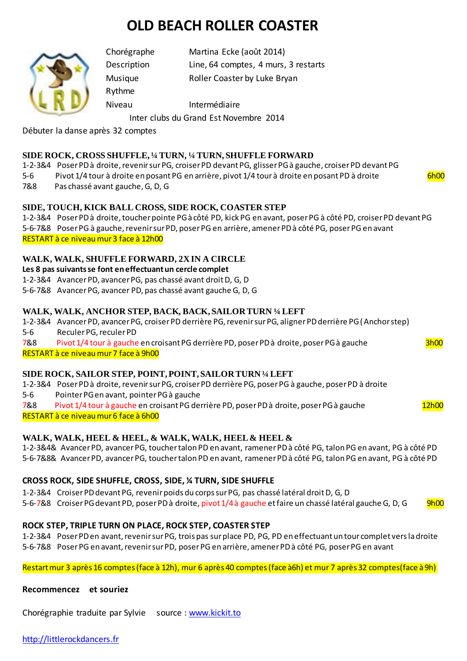# **OLD BEACH ROLLER COASTER**



Rythme

Chorégraphe Martina Ecke (août 2014) Description Line, 64 comptes, 4 murs, 3 restarts

Musique Roller Coaster by Luke Bryan

Niveau Intermédiaire

Inter clubs du Grand Est Novembre 2014

Débuter la danse après 32 comptes

## **SIDE ROCK, CROSS SHUFFLE, ¼ TURN, ¼ TURN, SHUFFLE FORWARD**

1-2-3&4 Poser PD à droite, revenir sur PG, croiser PD devant PG, glisser PG à gauche, croiser PD devant PG 5-6 Pivot 1/4 tour à droite en posant PG en arrière, pivot 1/4 tour à droite en posant PD à droite 6h00 7&8 Pas chassé avant gauche, G, D, G

**SIDE, TOUCH, KICK BALL CROSS, SIDE ROCK, COASTER STEP**

1-2-3&4 Poser PD à droite, toucher pointe PG à côté PD, kick PG en avant, poser PG à côté PD, croiser PD devant PG 5-6-7&8 Poser PG à gauche, revenir sur PD, poser PG en arrière, amener PD à côté PG, poser PG en avant RESTART à ce niveau mur 3 face à 12h00

## **WALK, WALK, SHUFFLE FORWARD, 2X IN A CIRCLE**

#### **Les 8 pas suivants se font en effectuant un cercle complet**

1-2-3&4 Avancer PD, avancerPG, pas chassé avant droit D, G, D

5-6-7&8 Avancer PG, avancer PD, pas chassé avant gauche G, D, G

## **WALK, WALK, ANCHOR STEP, BACK, BACK, SAILOR TURN ¼ LEFT**

1-2-3&4 Avancer PD, avancer PG, croiser PD derrière PG, revenir sur PG, aligner PD derrière PG (Anchor step) 5-6 Reculer PG,reculer PD 7&8 Pivot 1/4 tour à gauche en croisant PG derrière PD, poser PD à droite, poser PG à gauche 3h00

RESTART à ce niveau mur 7 face à 9h00

## **SIDE ROCK, SAILOR STEP, POINT, POINT, SAILOR TURN ¼ LEFT**

1-2-3&4 Poser PD à droite, revenir sur PG, croiser PD derrière PG, poser PG à gauche, poser PD à droite 5-6 Pointer PG en avant, pointer PG à gauche 7&8 Pivot 1/4 tour à gauche en croisant PG derrière PD, poser PD à droite, poser PG à gauche  $12h00$ 

RESTART à ce niveau mur 6 face à 6h00

# **WALK, WALK, HEEL & HEEL, & WALK, WALK, HEEL & HEEL &**

1-2-3&4& Avancer PD, avancer PG, toucher talon PD en avant, ramener PD à côté PG, talon PG en avant, PG à côté PD 5-6-7&8& Avancer PD, avancer PG, toucher talon PD en avant, ramener PD à côté PG, talon PG en avant, PG à côté PD

# **CROSS ROCK, SIDE SHUFFLE, CROSS, SIDE, ¼ TURN, SIDE SHUFFLE**

1-2-3&4 Croiser PD devant PG, revenir poids du corps sur PG, pas chassé latéral droit D, G, D

5-6-7&8 Croiser PG devant PD, poser PD à droite, pivot 1/4 à gauche et faire un chassé latéral gauche G, D, G 9h00

## **ROCK STEP, TRIPLE TURN ON PLACE, ROCK STEP, COASTER STEP**

1-2-3&4 Poser PD en avant, revenir sur PG, trois pas sur place PD, PG, PD en effectuant un tour complet vers la droite 5-6-7&8 Poser PG en avant, revenir sur PD, poser PG en arrière, amener PD à côté PG, poser PG en avant

Restart mur 3 après 16 comptes (face à 12h), mur 6 après 40 comptes (face à6h) et mur 7 après 32 comptes(face à 9h)

#### **Recommencez et souriez**

Chorégraphie traduite par Sylvie source [: www.kickit.to](http://www.kickit.to/)

## [http://littlerockdancers.fr](http://littlerockdancers.fr/)